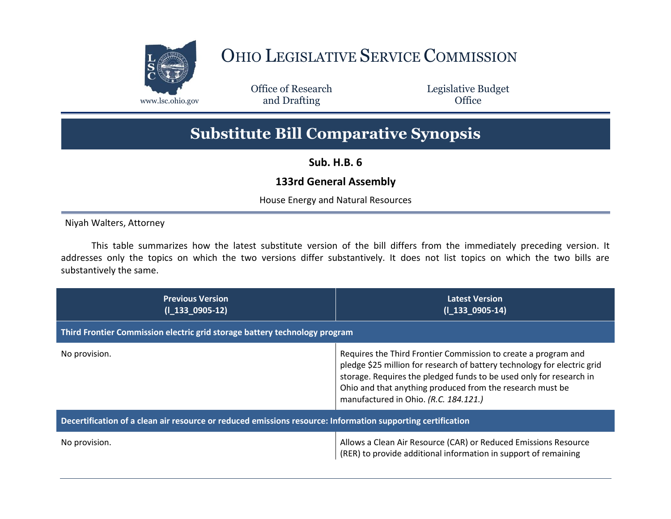

## OHIO LEGISLATIVE SERVICE COMMISSION

Office of Research www.lsc.ohio.gov and Drafting Control Control of Control Control Office

Legislative Budget

## **Substitute Bill Comparative Synopsis**

**Sub. H.B. 6**

## **133rd General Assembly**

House Energy and Natural Resources

Niyah Walters, Attorney

This table summarizes how the latest substitute version of the bill differs from the immediately preceding version. It addresses only the topics on which the two versions differ substantively. It does not list topics on which the two bills are substantively the same.

| <b>Previous Version</b><br>$(1\ 133\ 0905-12)$                                                              | <b>Latest Version</b><br>$(1\ 133\ 0905-14)$                                                                                                                                                                                                                                                                            |
|-------------------------------------------------------------------------------------------------------------|-------------------------------------------------------------------------------------------------------------------------------------------------------------------------------------------------------------------------------------------------------------------------------------------------------------------------|
| Third Frontier Commission electric grid storage battery technology program                                  |                                                                                                                                                                                                                                                                                                                         |
| No provision.                                                                                               | Requires the Third Frontier Commission to create a program and<br>pledge \$25 million for research of battery technology for electric grid<br>storage. Requires the pledged funds to be used only for research in<br>Ohio and that anything produced from the research must be<br>manufactured in Ohio. (R.C. 184.121.) |
| Decertification of a clean air resource or reduced emissions resource: Information supporting certification |                                                                                                                                                                                                                                                                                                                         |
| No provision.                                                                                               | Allows a Clean Air Resource (CAR) or Reduced Emissions Resource<br>(RER) to provide additional information in support of remaining                                                                                                                                                                                      |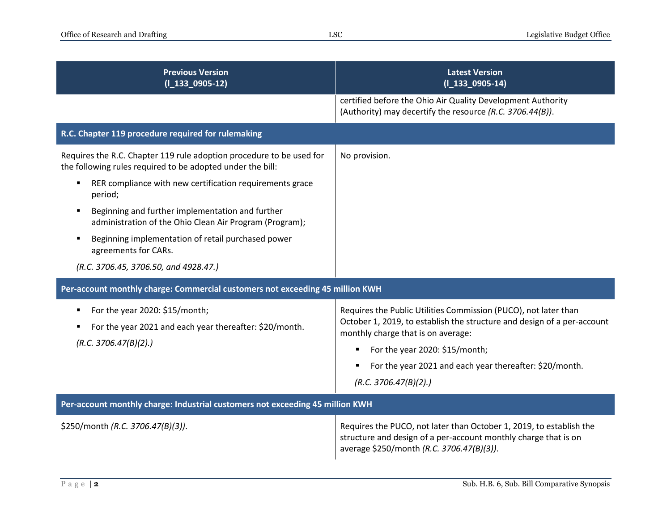| <b>Previous Version</b><br>$(I_133_0905-12)$                                                                                       | <b>Latest Version</b><br>$(I_133_0905-14)$                                                                                                                                                                         |
|------------------------------------------------------------------------------------------------------------------------------------|--------------------------------------------------------------------------------------------------------------------------------------------------------------------------------------------------------------------|
|                                                                                                                                    | certified before the Ohio Air Quality Development Authority<br>(Authority) may decertify the resource (R.C. 3706.44(B)).                                                                                           |
| R.C. Chapter 119 procedure required for rulemaking                                                                                 |                                                                                                                                                                                                                    |
| Requires the R.C. Chapter 119 rule adoption procedure to be used for<br>the following rules required to be adopted under the bill: | No provision.                                                                                                                                                                                                      |
| RER compliance with new certification requirements grace<br>٠<br>period;                                                           |                                                                                                                                                                                                                    |
| Beginning and further implementation and further<br>٠<br>administration of the Ohio Clean Air Program (Program);                   |                                                                                                                                                                                                                    |
| Beginning implementation of retail purchased power<br>п<br>agreements for CARs.                                                    |                                                                                                                                                                                                                    |
| (R.C. 3706.45, 3706.50, and 4928.47.)                                                                                              |                                                                                                                                                                                                                    |
| Per-account monthly charge: Commercial customers not exceeding 45 million KWH                                                      |                                                                                                                                                                                                                    |
| For the year 2020: \$15/month;<br>٠<br>For the year 2021 and each year thereafter: \$20/month.<br>(R.C. 3706.47(B)(2).)            | Requires the Public Utilities Commission (PUCO), not later than<br>October 1, 2019, to establish the structure and design of a per-account<br>monthly charge that is on average:<br>For the year 2020: \$15/month; |
|                                                                                                                                    | For the year 2021 and each year thereafter: \$20/month.                                                                                                                                                            |
|                                                                                                                                    | (R.C. 3706.47(B)(2).)                                                                                                                                                                                              |
| Per-account monthly charge: Industrial customers not exceeding 45 million KWH                                                      |                                                                                                                                                                                                                    |
| \$250/month (R.C. 3706.47(B)(3)).                                                                                                  | Requires the PUCO, not later than October 1, 2019, to establish the<br>structure and design of a per-account monthly charge that is on<br>average \$250/month (R.C. 3706.47(B)(3)).                                |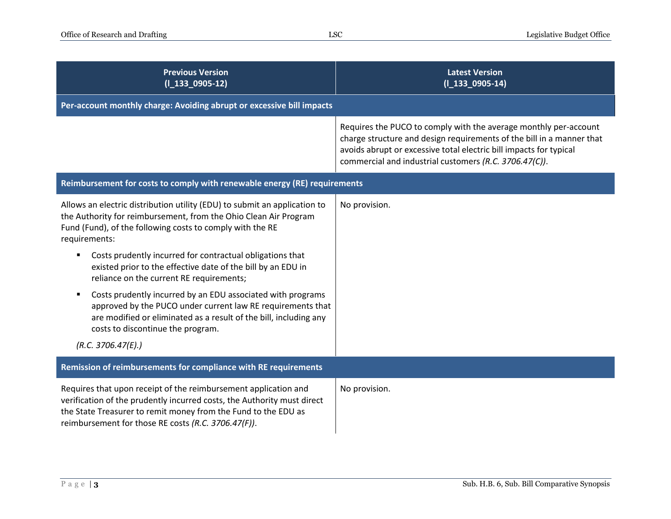| <b>Previous Version</b><br>$(I_133_0905-12)$                                                                                                                                                                                                                                                                                                                                                                                                                                                                                                                                                                                                                            | <b>Latest Version</b><br>$(I_133_0905-14)$                                                                                                                                                                                                                                |
|-------------------------------------------------------------------------------------------------------------------------------------------------------------------------------------------------------------------------------------------------------------------------------------------------------------------------------------------------------------------------------------------------------------------------------------------------------------------------------------------------------------------------------------------------------------------------------------------------------------------------------------------------------------------------|---------------------------------------------------------------------------------------------------------------------------------------------------------------------------------------------------------------------------------------------------------------------------|
| Per-account monthly charge: Avoiding abrupt or excessive bill impacts                                                                                                                                                                                                                                                                                                                                                                                                                                                                                                                                                                                                   |                                                                                                                                                                                                                                                                           |
|                                                                                                                                                                                                                                                                                                                                                                                                                                                                                                                                                                                                                                                                         | Requires the PUCO to comply with the average monthly per-account<br>charge structure and design requirements of the bill in a manner that<br>avoids abrupt or excessive total electric bill impacts for typical<br>commercial and industrial customers (R.C. 3706.47(C)). |
| Reimbursement for costs to comply with renewable energy (RE) requirements                                                                                                                                                                                                                                                                                                                                                                                                                                                                                                                                                                                               |                                                                                                                                                                                                                                                                           |
| Allows an electric distribution utility (EDU) to submit an application to<br>the Authority for reimbursement, from the Ohio Clean Air Program<br>Fund (Fund), of the following costs to comply with the RE<br>requirements:<br>Costs prudently incurred for contractual obligations that<br>existed prior to the effective date of the bill by an EDU in<br>reliance on the current RE requirements;<br>Costs prudently incurred by an EDU associated with programs<br>٠<br>approved by the PUCO under current law RE requirements that<br>are modified or eliminated as a result of the bill, including any<br>costs to discontinue the program.<br>(R.C. 3706.47(E).) | No provision.                                                                                                                                                                                                                                                             |
| Remission of reimbursements for compliance with RE requirements                                                                                                                                                                                                                                                                                                                                                                                                                                                                                                                                                                                                         |                                                                                                                                                                                                                                                                           |
| Requires that upon receipt of the reimbursement application and<br>verification of the prudently incurred costs, the Authority must direct<br>the State Treasurer to remit money from the Fund to the EDU as<br>reimbursement for those RE costs (R.C. 3706.47(F)).                                                                                                                                                                                                                                                                                                                                                                                                     | No provision.                                                                                                                                                                                                                                                             |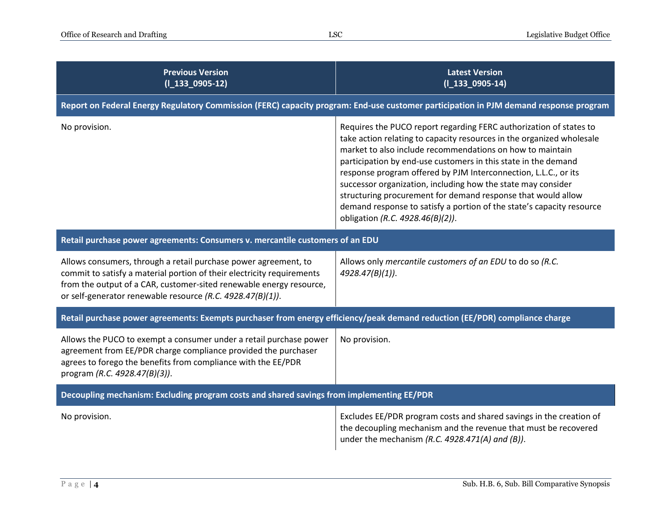| <b>Previous Version</b><br>$(I_133_0905-12)$                                                                                                                                                                                                                                   | <b>Latest Version</b><br>$(I_133_0905-14)$                                                                                                                                                                                                                                                                                                                                                                                                                                                                                                                                                 |
|--------------------------------------------------------------------------------------------------------------------------------------------------------------------------------------------------------------------------------------------------------------------------------|--------------------------------------------------------------------------------------------------------------------------------------------------------------------------------------------------------------------------------------------------------------------------------------------------------------------------------------------------------------------------------------------------------------------------------------------------------------------------------------------------------------------------------------------------------------------------------------------|
| Report on Federal Energy Regulatory Commission (FERC) capacity program: End-use customer participation in PJM demand response program                                                                                                                                          |                                                                                                                                                                                                                                                                                                                                                                                                                                                                                                                                                                                            |
| No provision.                                                                                                                                                                                                                                                                  | Requires the PUCO report regarding FERC authorization of states to<br>take action relating to capacity resources in the organized wholesale<br>market to also include recommendations on how to maintain<br>participation by end-use customers in this state in the demand<br>response program offered by PJM Interconnection, L.L.C., or its<br>successor organization, including how the state may consider<br>structuring procurement for demand response that would allow<br>demand response to satisfy a portion of the state's capacity resource<br>obligation (R.C. 4928.46(B)(2)). |
| Retail purchase power agreements: Consumers v. mercantile customers of an EDU                                                                                                                                                                                                  |                                                                                                                                                                                                                                                                                                                                                                                                                                                                                                                                                                                            |
| Allows consumers, through a retail purchase power agreement, to<br>commit to satisfy a material portion of their electricity requirements<br>from the output of a CAR, customer-sited renewable energy resource,<br>or self-generator renewable resource (R.C. 4928.47(B)(1)). | Allows only mercantile customers of an EDU to do so (R.C.<br>$4928.47(B)(1)$ ).                                                                                                                                                                                                                                                                                                                                                                                                                                                                                                            |
| Retail purchase power agreements: Exempts purchaser from energy efficiency/peak demand reduction (EE/PDR) compliance charge                                                                                                                                                    |                                                                                                                                                                                                                                                                                                                                                                                                                                                                                                                                                                                            |
| Allows the PUCO to exempt a consumer under a retail purchase power<br>agreement from EE/PDR charge compliance provided the purchaser<br>agrees to forego the benefits from compliance with the EE/PDR<br>program (R.C. 4928.47(B)(3)).                                         | No provision.                                                                                                                                                                                                                                                                                                                                                                                                                                                                                                                                                                              |
| Decoupling mechanism: Excluding program costs and shared savings from implementing EE/PDR                                                                                                                                                                                      |                                                                                                                                                                                                                                                                                                                                                                                                                                                                                                                                                                                            |
| No provision.                                                                                                                                                                                                                                                                  | Excludes EE/PDR program costs and shared savings in the creation of<br>the decoupling mechanism and the revenue that must be recovered<br>under the mechanism (R.C. 4928.471(A) and (B)).                                                                                                                                                                                                                                                                                                                                                                                                  |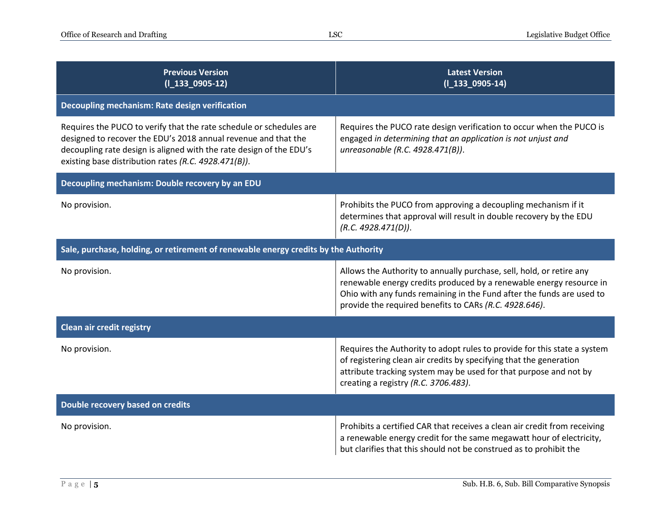| <b>Previous Version</b><br>$(I_133_0905-12)$                                                                                                                                                                                                                         | <b>Latest Version</b><br>$(I_133_0905-14)$                                                                                                                                                                                                                                     |
|----------------------------------------------------------------------------------------------------------------------------------------------------------------------------------------------------------------------------------------------------------------------|--------------------------------------------------------------------------------------------------------------------------------------------------------------------------------------------------------------------------------------------------------------------------------|
| Decoupling mechanism: Rate design verification                                                                                                                                                                                                                       |                                                                                                                                                                                                                                                                                |
| Requires the PUCO to verify that the rate schedule or schedules are<br>designed to recover the EDU's 2018 annual revenue and that the<br>decoupling rate design is aligned with the rate design of the EDU's<br>existing base distribution rates (R.C. 4928.471(B)). | Requires the PUCO rate design verification to occur when the PUCO is<br>engaged in determining that an application is not unjust and<br>unreasonable (R.C. 4928.471(B)).                                                                                                       |
| Decoupling mechanism: Double recovery by an EDU                                                                                                                                                                                                                      |                                                                                                                                                                                                                                                                                |
| No provision.                                                                                                                                                                                                                                                        | Prohibits the PUCO from approving a decoupling mechanism if it<br>determines that approval will result in double recovery by the EDU<br>(R.C. 4928.471(D)).                                                                                                                    |
| Sale, purchase, holding, or retirement of renewable energy credits by the Authority                                                                                                                                                                                  |                                                                                                                                                                                                                                                                                |
| No provision.                                                                                                                                                                                                                                                        | Allows the Authority to annually purchase, sell, hold, or retire any<br>renewable energy credits produced by a renewable energy resource in<br>Ohio with any funds remaining in the Fund after the funds are used to<br>provide the required benefits to CARs (R.C. 4928.646). |
| <b>Clean air credit registry</b>                                                                                                                                                                                                                                     |                                                                                                                                                                                                                                                                                |
| No provision.                                                                                                                                                                                                                                                        | Requires the Authority to adopt rules to provide for this state a system<br>of registering clean air credits by specifying that the generation<br>attribute tracking system may be used for that purpose and not by<br>creating a registry (R.C. 3706.483).                    |
| Double recovery based on credits                                                                                                                                                                                                                                     |                                                                                                                                                                                                                                                                                |
| No provision.                                                                                                                                                                                                                                                        | Prohibits a certified CAR that receives a clean air credit from receiving<br>a renewable energy credit for the same megawatt hour of electricity,<br>but clarifies that this should not be construed as to prohibit the                                                        |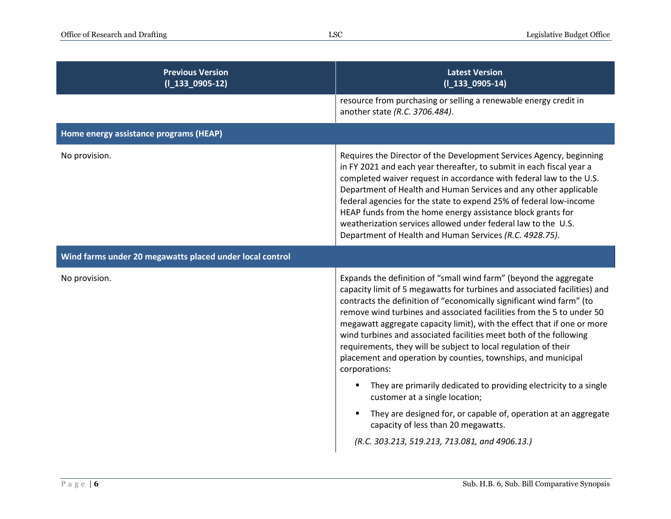| <b>Previous Version</b><br>$(I_133_0905-12)$             | <b>Latest Version</b><br>$(I_133_0905-14)$                                                                                                                                                                                                                                                                                                                                                                                                                                                                                                                                                            |
|----------------------------------------------------------|-------------------------------------------------------------------------------------------------------------------------------------------------------------------------------------------------------------------------------------------------------------------------------------------------------------------------------------------------------------------------------------------------------------------------------------------------------------------------------------------------------------------------------------------------------------------------------------------------------|
|                                                          | resource from purchasing or selling a renewable energy credit in<br>another state (R.C. 3706.484).                                                                                                                                                                                                                                                                                                                                                                                                                                                                                                    |
| Home energy assistance programs (HEAP)                   |                                                                                                                                                                                                                                                                                                                                                                                                                                                                                                                                                                                                       |
| No provision.                                            | Requires the Director of the Development Services Agency, beginning<br>in FY 2021 and each year thereafter, to submit in each fiscal year a<br>completed waiver request in accordance with federal law to the U.S.<br>Department of Health and Human Services and any other applicable<br>federal agencies for the state to expend 25% of federal low-income<br>HEAP funds from the home energy assistance block grants for<br>weatherization services allowed under federal law to the U.S.<br>Department of Health and Human Services (R.C. 4928.75).                                               |
| Wind farms under 20 megawatts placed under local control |                                                                                                                                                                                                                                                                                                                                                                                                                                                                                                                                                                                                       |
| No provision.                                            | Expands the definition of "small wind farm" (beyond the aggregate<br>capacity limit of 5 megawatts for turbines and associated facilities) and<br>contracts the definition of "economically significant wind farm" (to<br>remove wind turbines and associated facilities from the 5 to under 50<br>megawatt aggregate capacity limit), with the effect that if one or more<br>wind turbines and associated facilities meet both of the following<br>requirements, they will be subject to local regulation of their<br>placement and operation by counties, townships, and municipal<br>corporations: |
|                                                          | They are primarily dedicated to providing electricity to a single<br>customer at a single location;                                                                                                                                                                                                                                                                                                                                                                                                                                                                                                   |
|                                                          | They are designed for, or capable of, operation at an aggregate<br>capacity of less than 20 megawatts.                                                                                                                                                                                                                                                                                                                                                                                                                                                                                                |
|                                                          | (R.C. 303.213, 519.213, 713.081, and 4906.13.)                                                                                                                                                                                                                                                                                                                                                                                                                                                                                                                                                        |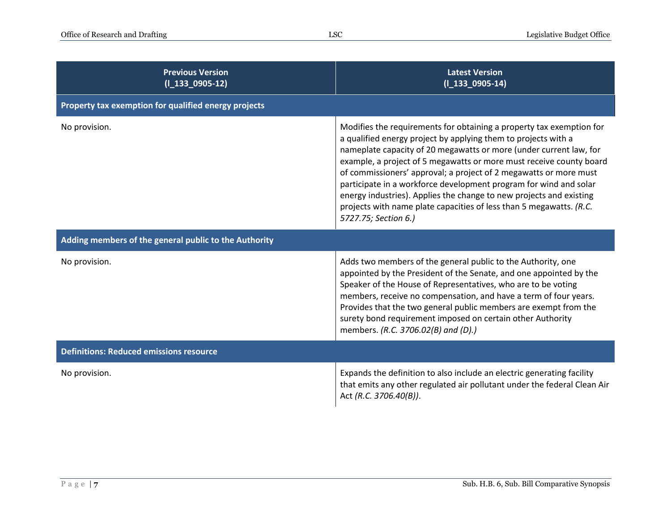| <b>Previous Version</b><br>$(I_133_0905-12)$          | <b>Latest Version</b><br>$(I_133_0905-14)$                                                                                                                                                                                                                                                                                                                                                                                                                                                                                                                                                          |
|-------------------------------------------------------|-----------------------------------------------------------------------------------------------------------------------------------------------------------------------------------------------------------------------------------------------------------------------------------------------------------------------------------------------------------------------------------------------------------------------------------------------------------------------------------------------------------------------------------------------------------------------------------------------------|
| Property tax exemption for qualified energy projects  |                                                                                                                                                                                                                                                                                                                                                                                                                                                                                                                                                                                                     |
| No provision.                                         | Modifies the requirements for obtaining a property tax exemption for<br>a qualified energy project by applying them to projects with a<br>nameplate capacity of 20 megawatts or more (under current law, for<br>example, a project of 5 megawatts or more must receive county board<br>of commissioners' approval; a project of 2 megawatts or more must<br>participate in a workforce development program for wind and solar<br>energy industries). Applies the change to new projects and existing<br>projects with name plate capacities of less than 5 megawatts. (R.C.<br>5727.75; Section 6.) |
| Adding members of the general public to the Authority |                                                                                                                                                                                                                                                                                                                                                                                                                                                                                                                                                                                                     |
| No provision.                                         | Adds two members of the general public to the Authority, one<br>appointed by the President of the Senate, and one appointed by the<br>Speaker of the House of Representatives, who are to be voting<br>members, receive no compensation, and have a term of four years.<br>Provides that the two general public members are exempt from the<br>surety bond requirement imposed on certain other Authority<br>members. (R.C. 3706.02(B) and (D).)                                                                                                                                                    |
| <b>Definitions: Reduced emissions resource</b>        |                                                                                                                                                                                                                                                                                                                                                                                                                                                                                                                                                                                                     |
| No provision.                                         | Expands the definition to also include an electric generating facility<br>that emits any other regulated air pollutant under the federal Clean Air<br>Act (R.C. 3706.40(B)).                                                                                                                                                                                                                                                                                                                                                                                                                        |